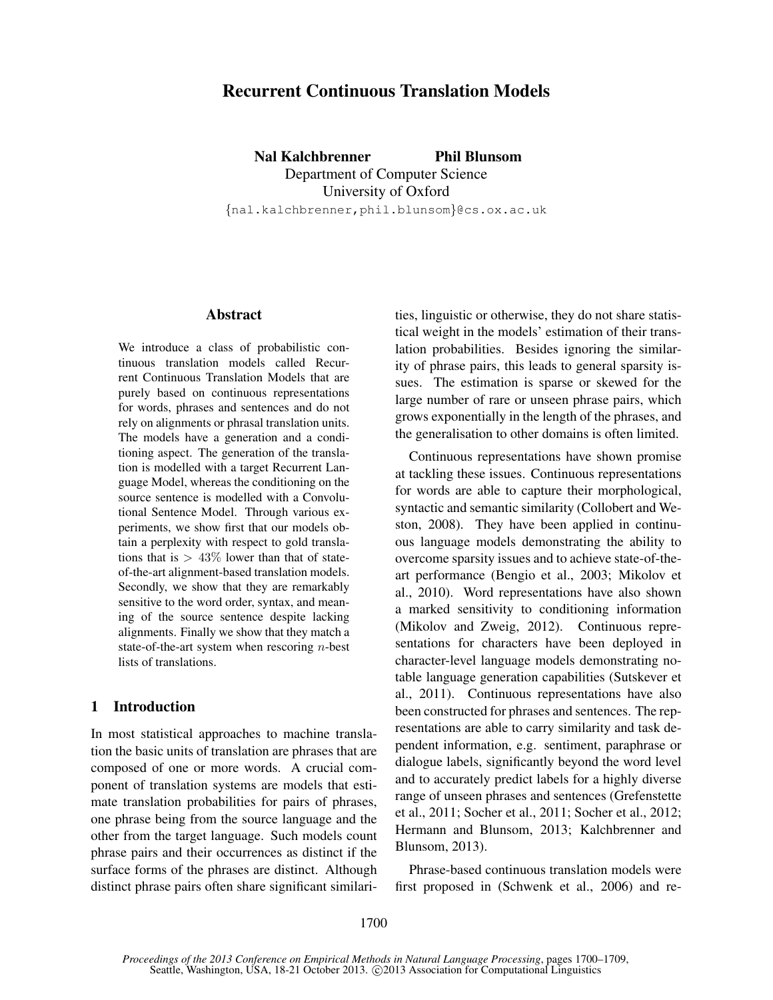# Recurrent Continuous Translation Models

Nal Kalchbrenner Phil Blunsom Department of Computer Science University of Oxford {nal.kalchbrenner,phil.blunsom}@cs.ox.ac.uk

### Abstract

We introduce a class of probabilistic continuous translation models called Recurrent Continuous Translation Models that are purely based on continuous representations for words, phrases and sentences and do not rely on alignments or phrasal translation units. The models have a generation and a conditioning aspect. The generation of the translation is modelled with a target Recurrent Language Model, whereas the conditioning on the source sentence is modelled with a Convolutional Sentence Model. Through various experiments, we show first that our models obtain a perplexity with respect to gold translations that is  $> 43\%$  lower than that of stateof-the-art alignment-based translation models. Secondly, we show that they are remarkably sensitive to the word order, syntax, and meaning of the source sentence despite lacking alignments. Finally we show that they match a state-of-the-art system when rescoring  $n$ -best lists of translations.

#### 1 Introduction

In most statistical approaches to machine translation the basic units of translation are phrases that are composed of one or more words. A crucial component of translation systems are models that estimate translation probabilities for pairs of phrases, one phrase being from the source language and the other from the target language. Such models count phrase pairs and their occurrences as distinct if the surface forms of the phrases are distinct. Although distinct phrase pairs often share significant similarities, linguistic or otherwise, they do not share statistical weight in the models' estimation of their translation probabilities. Besides ignoring the similarity of phrase pairs, this leads to general sparsity issues. The estimation is sparse or skewed for the large number of rare or unseen phrase pairs, which grows exponentially in the length of the phrases, and the generalisation to other domains is often limited.

Continuous representations have shown promise at tackling these issues. Continuous representations for words are able to capture their morphological, syntactic and semantic similarity (Collobert and Weston, 2008). They have been applied in continuous language models demonstrating the ability to overcome sparsity issues and to achieve state-of-theart performance (Bengio et al., 2003; Mikolov et al., 2010). Word representations have also shown a marked sensitivity to conditioning information (Mikolov and Zweig, 2012). Continuous representations for characters have been deployed in character-level language models demonstrating notable language generation capabilities (Sutskever et al., 2011). Continuous representations have also been constructed for phrases and sentences. The representations are able to carry similarity and task dependent information, e.g. sentiment, paraphrase or dialogue labels, significantly beyond the word level and to accurately predict labels for a highly diverse range of unseen phrases and sentences (Grefenstette et al., 2011; Socher et al., 2011; Socher et al., 2012; Hermann and Blunsom, 2013; Kalchbrenner and Blunsom, 2013).

Phrase-based continuous translation models were first proposed in (Schwenk et al., 2006) and re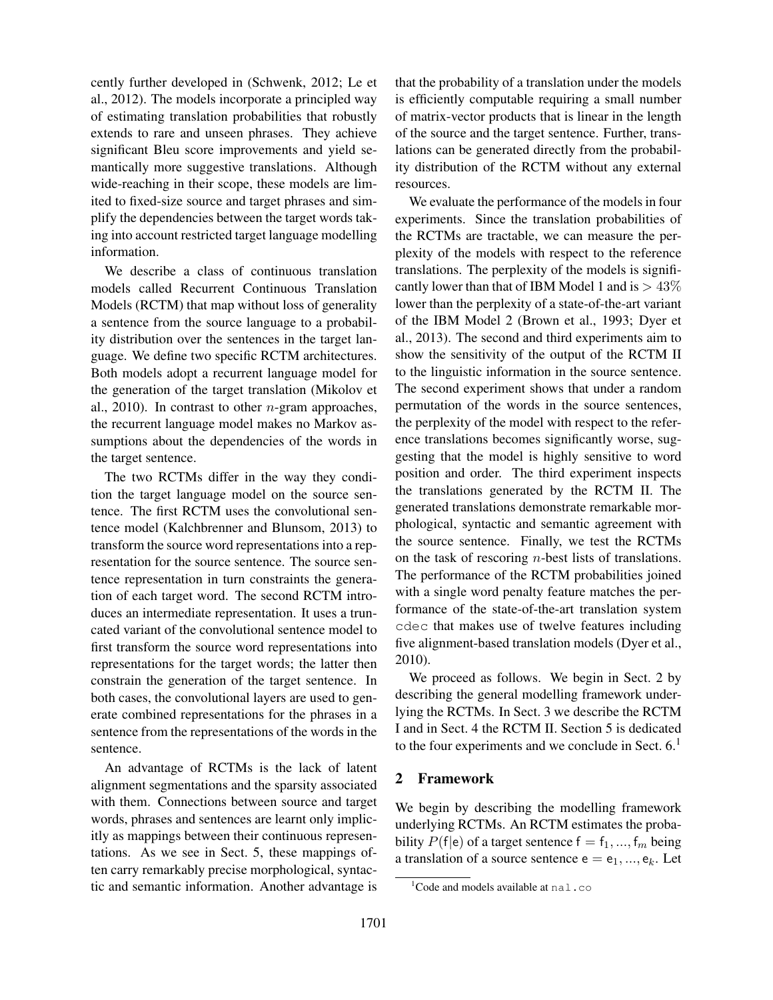cently further developed in (Schwenk, 2012; Le et al., 2012). The models incorporate a principled way of estimating translation probabilities that robustly extends to rare and unseen phrases. They achieve significant Bleu score improvements and yield semantically more suggestive translations. Although wide-reaching in their scope, these models are limited to fixed-size source and target phrases and simplify the dependencies between the target words taking into account restricted target language modelling information.

We describe a class of continuous translation models called Recurrent Continuous Translation Models (RCTM) that map without loss of generality a sentence from the source language to a probability distribution over the sentences in the target language. We define two specific RCTM architectures. Both models adopt a recurrent language model for the generation of the target translation (Mikolov et al., 2010). In contrast to other  $n$ -gram approaches, the recurrent language model makes no Markov assumptions about the dependencies of the words in the target sentence.

The two RCTMs differ in the way they condition the target language model on the source sentence. The first RCTM uses the convolutional sentence model (Kalchbrenner and Blunsom, 2013) to transform the source word representations into a representation for the source sentence. The source sentence representation in turn constraints the generation of each target word. The second RCTM introduces an intermediate representation. It uses a truncated variant of the convolutional sentence model to first transform the source word representations into representations for the target words; the latter then constrain the generation of the target sentence. In both cases, the convolutional layers are used to generate combined representations for the phrases in a sentence from the representations of the words in the sentence.

An advantage of RCTMs is the lack of latent alignment segmentations and the sparsity associated with them. Connections between source and target words, phrases and sentences are learnt only implicitly as mappings between their continuous representations. As we see in Sect. 5, these mappings often carry remarkably precise morphological, syntactic and semantic information. Another advantage is that the probability of a translation under the models is efficiently computable requiring a small number of matrix-vector products that is linear in the length of the source and the target sentence. Further, translations can be generated directly from the probability distribution of the RCTM without any external resources.

We evaluate the performance of the models in four experiments. Since the translation probabilities of the RCTMs are tractable, we can measure the perplexity of the models with respect to the reference translations. The perplexity of the models is significantly lower than that of IBM Model 1 and is  $> 43\%$ lower than the perplexity of a state-of-the-art variant of the IBM Model 2 (Brown et al., 1993; Dyer et al., 2013). The second and third experiments aim to show the sensitivity of the output of the RCTM II to the linguistic information in the source sentence. The second experiment shows that under a random permutation of the words in the source sentences, the perplexity of the model with respect to the reference translations becomes significantly worse, suggesting that the model is highly sensitive to word position and order. The third experiment inspects the translations generated by the RCTM II. The generated translations demonstrate remarkable morphological, syntactic and semantic agreement with the source sentence. Finally, we test the RCTMs on the task of rescoring  $n$ -best lists of translations. The performance of the RCTM probabilities joined with a single word penalty feature matches the performance of the state-of-the-art translation system cdec that makes use of twelve features including five alignment-based translation models (Dyer et al., 2010).

We proceed as follows. We begin in Sect. 2 by describing the general modelling framework underlying the RCTMs. In Sect. 3 we describe the RCTM I and in Sect. 4 the RCTM II. Section 5 is dedicated to the four experiments and we conclude in Sect.  $6<sup>1</sup>$ 

## 2 Framework

We begin by describing the modelling framework underlying RCTMs. An RCTM estimates the probability  $P(f|e)$  of a target sentence  $f = f_1, ..., f_m$  being a translation of a source sentence  $e = e_1, ..., e_k$ . Let

<sup>&</sup>lt;sup>1</sup>Code and models available at  $n = 1$ .co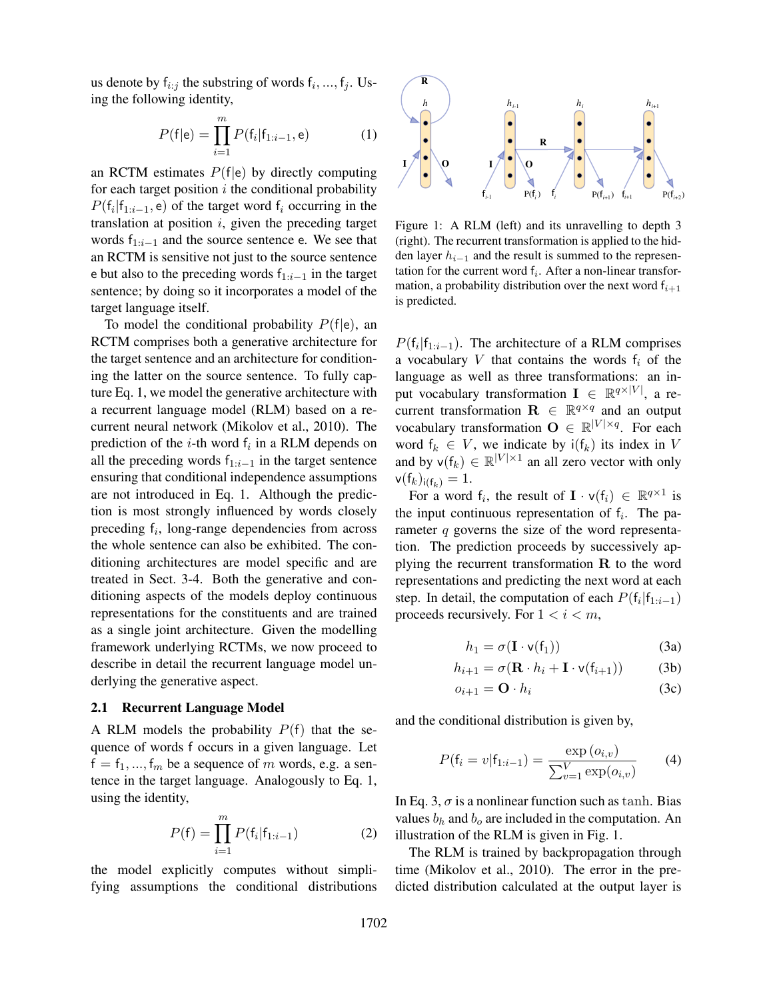us denote by  $f_{i:j}$  the substring of words  $f_i, ..., f_j$ . Using the following identity,

$$
P(\mathsf{f}|\mathsf{e}) = \prod_{i=1}^{m} P(\mathsf{f}_i|\mathsf{f}_{1:i-1}, \mathsf{e}) \tag{1}
$$

an RCTM estimates  $P(f|e)$  by directly computing for each target position  $i$  the conditional probability  $P(f_i|f_{1:i-1}, e)$  of the target word  $f_i$  occurring in the translation at position  $i$ , given the preceding target words  $f_{1:i-1}$  and the source sentence e. We see that an RCTM is sensitive not just to the source sentence e but also to the preceding words  $f_{1:i-1}$  in the target sentence; by doing so it incorporates a model of the target language itself.

To model the conditional probability  $P(f|e)$ , an RCTM comprises both a generative architecture for the target sentence and an architecture for conditioning the latter on the source sentence. To fully capture Eq. 1, we model the generative architecture with a recurrent language model (RLM) based on a recurrent neural network (Mikolov et al., 2010). The prediction of the *i*-th word  $f_i$  in a RLM depends on all the preceding words  $f_{1:i-1}$  in the target sentence ensuring that conditional independence assumptions are not introduced in Eq. 1. Although the prediction is most strongly influenced by words closely preceding  $f_i$ , long-range dependencies from across the whole sentence can also be exhibited. The conditioning architectures are model specific and are treated in Sect. 3-4. Both the generative and conditioning aspects of the models deploy continuous representations for the constituents and are trained as a single joint architecture. Given the modelling framework underlying RCTMs, we now proceed to describe in detail the recurrent language model underlying the generative aspect.

### 2.1 Recurrent Language Model

A RLM models the probability  $P(f)$  that the sequence of words f occurs in a given language. Let  $f = f_1, ..., f_m$  be a sequence of m words, e.g. a sentence in the target language. Analogously to Eq. 1, using the identity,

$$
P(f) = \prod_{i=1}^{m} P(f_i | f_{1:i-1})
$$
 (2)

the model explicitly computes without simplifying assumptions the conditional distributions



Figure 1: A RLM (left) and its unravelling to depth 3 (right). The recurrent transformation is applied to the hidden layer  $h_{i-1}$  and the result is summed to the representation for the current word  $f_i$ . After a non-linear transformation, a probability distribution over the next word  $f_{i+1}$ is predicted.

 $P(f_i | f_{1:i-1})$ . The architecture of a RLM comprises a vocabulary  $V$  that contains the words  $f_i$  of the language as well as three transformations: an input vocabulary transformation  $I \in \mathbb{R}^{q \times |V|}$ , a recurrent transformation  $\mathbf{R} \in \mathbb{R}^{q \times q}$  and an output vocabulary transformation  $O \in \mathbb{R}^{|V| \times q}$ . For each word  $f_k \in V$ , we indicate by  $i(f_k)$  its index in V and by  $\mathsf{v}(\mathsf{f}_k) \in \mathbb{R}^{|V| \times 1}$  an all zero vector with only  $v(f_k)_{i(f_k)} = 1.$ 

For a word  $f_i$ , the result of  $I \cdot v(f_i) \in \mathbb{R}^{q \times 1}$  is the input continuous representation of  $f_i$ . The parameter q governs the size of the word representation. The prediction proceeds by successively applying the recurrent transformation  $\bf{R}$  to the word representations and predicting the next word at each step. In detail, the computation of each  $P(f_i|f_{1:i-1})$ proceeds recursively. For  $1 < i < m$ ,

$$
h_1 = \sigma(\mathbf{I} \cdot \mathsf{v}(\mathsf{f}_1)) \tag{3a}
$$

$$
h_{i+1} = \sigma(\mathbf{R} \cdot h_i + \mathbf{I} \cdot \mathbf{v}(\mathbf{f}_{i+1})) \tag{3b}
$$

$$
o_{i+1} = \mathbf{O} \cdot h_i \tag{3c}
$$

and the conditional distribution is given by,

$$
P(\mathbf{f}_i = v | \mathbf{f}_{1:i-1}) = \frac{\exp(o_{i,v})}{\sum_{v=1}^{V} \exp(o_{i,v})}
$$
(4)

In Eq. 3,  $\sigma$  is a nonlinear function such as tanh. Bias values  $b_h$  and  $b_o$  are included in the computation. An illustration of the RLM is given in Fig. 1.

The RLM is trained by backpropagation through time (Mikolov et al., 2010). The error in the predicted distribution calculated at the output layer is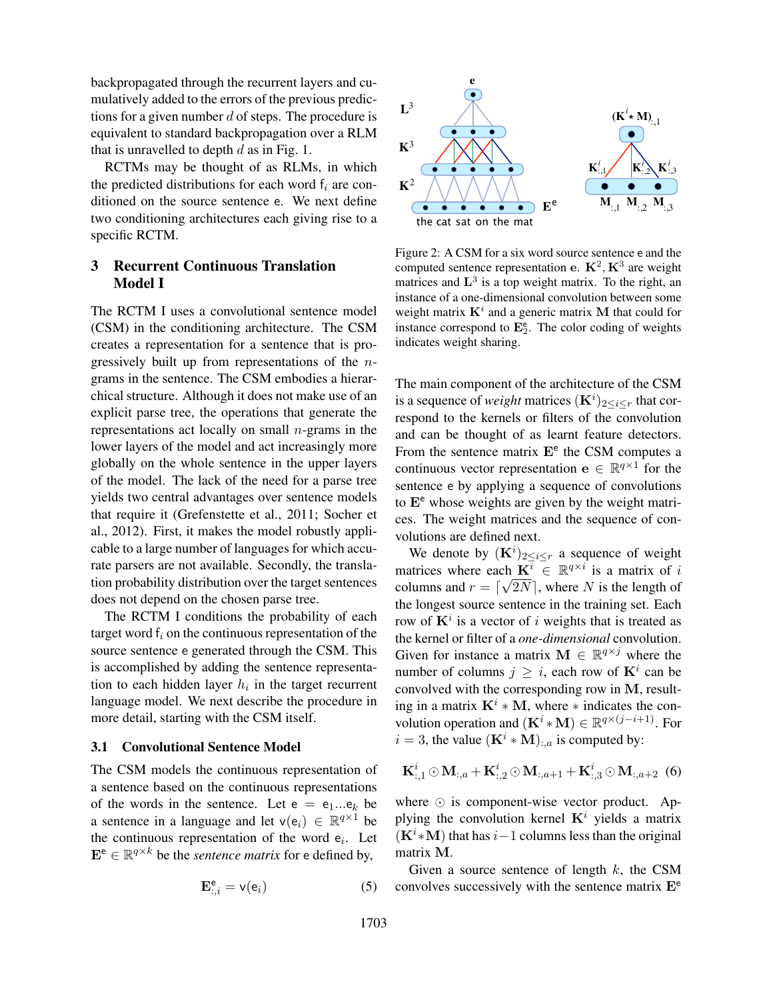backpropagated through the recurrent layers and cumulatively added to the errors of the previous predictions for a given number  $d$  of steps. The procedure is equivalent to standard backpropagation over a RLM that is unravelled to depth  $d$  as in Fig. 1.

RCTMs may be thought of as RLMs, in which the predicted distributions for each word  $f_i$  are conditioned on the source sentence e. We next define two conditioning architectures each giving rise to a specific RCTM.

## 3 Recurrent Continuous Translation Model I

The RCTM I uses a convolutional sentence model (CSM) in the conditioning architecture. The CSM creates a representation for a sentence that is progressively built up from representations of the ngrams in the sentence. The CSM embodies a hierarchical structure. Although it does not make use of an explicit parse tree, the operations that generate the representations act locally on small  $n$ -grams in the lower layers of the model and act increasingly more globally on the whole sentence in the upper layers of the model. The lack of the need for a parse tree yields two central advantages over sentence models that require it (Grefenstette et al., 2011; Socher et al., 2012). First, it makes the model robustly applicable to a large number of languages for which accurate parsers are not available. Secondly, the translation probability distribution over the target sentences does not depend on the chosen parse tree.

The RCTM I conditions the probability of each target word  $f_i$  on the continuous representation of the source sentence e generated through the CSM. This is accomplished by adding the sentence representation to each hidden layer  $h_i$  in the target recurrent language model. We next describe the procedure in more detail, starting with the CSM itself.

#### 3.1 Convolutional Sentence Model

The CSM models the continuous representation of a sentence based on the continuous representations of the words in the sentence. Let  $e = e_1...e_k$  be a sentence in a language and let  $\mathsf{v}(\mathsf{e}_i) \in \mathbb{R}^{q \times 1}$  be the continuous representation of the word  $e_i$ . Let  $\mathbf{E}^{\mathsf{e}} \in \mathbb{R}^{q \times k}$  be the *sentence matrix* for e defined by,

$$
\mathbf{E}_{:,i}^{\mathbf{e}} = \mathbf{v}(\mathbf{e}_i) \tag{5}
$$



Figure 2: A CSM for a six word source sentence e and the computed sentence representation e.  $\mathbf{K}^2, \mathbf{K}^3$  are weight matrices and  $\mathbf{L}^3$  is a top weight matrix. To the right, an instance of a one-dimensional convolution between some weight matrix  $K^i$  and a generic matrix M that could for instance correspond to  $\mathbf{E}_2^e$ . The color coding of weights indicates weight sharing.

The main component of the architecture of the CSM is a sequence of *weight* matrices  $(K^i)_{2 \leq i \leq r}$  that correspond to the kernels or filters of the convolution and can be thought of as learnt feature detectors. From the sentence matrix  $E^e$  the CSM computes a continuous vector representation  $\mathbf{e} \in \mathbb{R}^{q \times 1}$  for the sentence e by applying a sequence of convolutions to  $E^e$  whose weights are given by the weight matrices. The weight matrices and the sequence of convolutions are defined next.

or d'of sept. The procedure is  $\mathbb{R}^2$ .<br>
The procedure is the procedure of steps and the continuous representation of the beam of the beam of the set of set of the continuous Translation Figure 2: A CSM for a six word We denote by  $(K^i)_{2 \leq i \leq r}$  a sequence of weight matrices where each  $\mathbf{K}^{\overline{i}} \in \mathbb{R}^{q \times i}$  is a matrix of i columns and  $r = \lfloor \sqrt{2N} \rfloor$ , where N is the length of the longest source sentence in the training set. Each row of  $K^i$  is a vector of i weights that is treated as the kernel or filter of a *one-dimensional* convolution. Given for instance a matrix  $M \in \mathbb{R}^{q \times j}$  where the number of columns  $j \geq i$ , each row of  $K^i$  can be convolved with the corresponding row in M, resulting in a matrix  $K^i * M$ , where  $*$  indicates the convolution operation and  $(\mathbf{K}^i * \mathbf{M}) \in \mathbb{R}^{q \times (j-i+1)}$ . For  $i = 3$ , the value  $(\mathbf{K}^i * \mathbf{M})_{:,a}$  is computed by:

$$
{\bf K}_{:,1}^i\odot {\bf M}_{:,a} + {\bf K}_{:,2}^i\odot {\bf M}_{:,a+1} + {\bf K}_{:,3}^i\odot {\bf M}_{:,a+2} \;\; (6)
$$

where  $\odot$  is component-wise vector product. Applying the convolution kernel  $K<sup>i</sup>$  yields a matrix  $(K<sup>i</sup>*M)$  that has  $i-1$  columns less than the original matrix M.

Given a source sentence of length  $k$ , the CSM convolves successively with the sentence matrix  $E^e$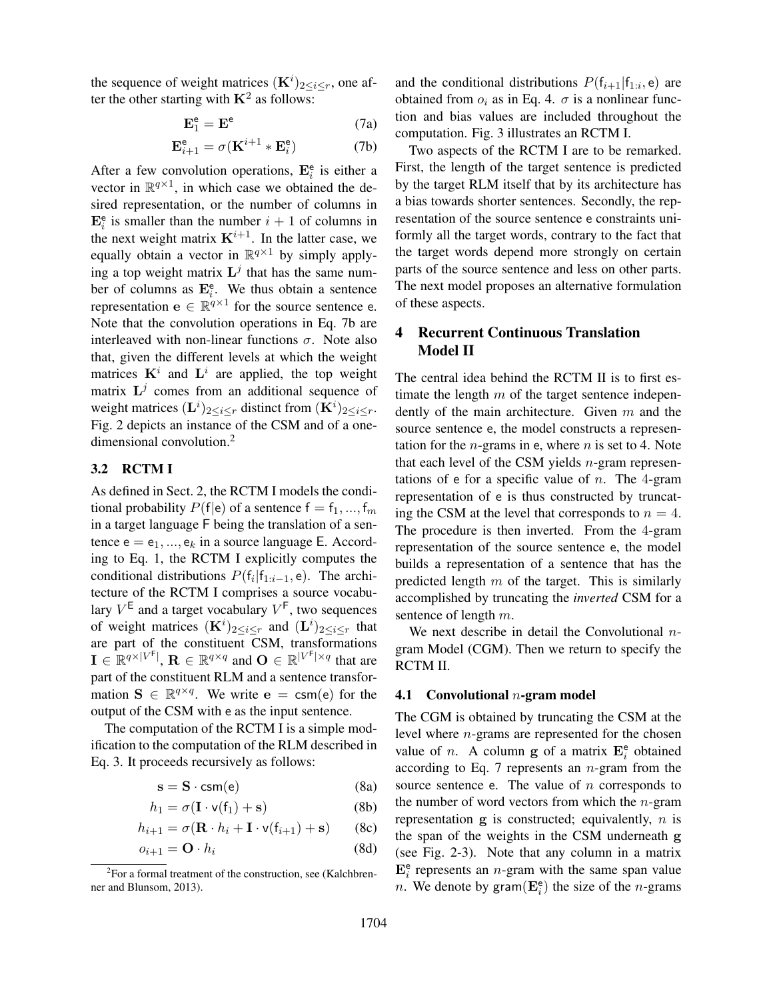the sequence of weight matrices  $(K^i)_{2 \leq i \leq r}$ , one after the other starting with  $\mathbf{K}^2$  as follows:

$$
\mathbf{E}_1^e = \mathbf{E}^e \tag{7a}
$$

$$
\mathbf{E}_{i+1}^{\mathsf{e}} = \sigma(\mathbf{K}^{i+1} * \mathbf{E}_{i}^{\mathsf{e}})
$$
 (7b)

After a few convolution operations,  $\mathbf{E}_i^e$  is either a vector in  $\mathbb{R}^{q \times 1}$ , in which case we obtained the desired representation, or the number of columns in  $\mathbf{E}_i^e$  is smaller than the number  $i + 1$  of columns in the next weight matrix  $K^{i+1}$ . In the latter case, we equally obtain a vector in  $\mathbb{R}^{q \times 1}$  by simply applying a top weight matrix  $\mathbf{L}^{j}$  that has the same number of columns as  $\mathbf{E}_i^e$ . We thus obtain a sentence representation  $e \in \mathbb{R}^{q \times 1}$  for the source sentence e. Note that the convolution operations in Eq. 7b are interleaved with non-linear functions  $\sigma$ . Note also that, given the different levels at which the weight matrices  $K^i$  and  $L^i$  are applied, the top weight matrix  $\mathbf{L}^j$  comes from an additional sequence of weight matrices  $(\mathbf{L}^{i})_{2\leq i\leq r}$  distinct from  $(\mathbf{K}^{i})_{2\leq i\leq r}$ . Fig. 2 depicts an instance of the CSM and of a onedimensional convolution.<sup>2</sup>

### 3.2 RCTM I

As defined in Sect. 2, the RCTM I models the conditional probability  $P(f|e)$  of a sentence  $f = f_1, ..., f_m$ in a target language F being the translation of a sentence  $e = e_1, ..., e_k$  in a source language E. According to Eq. 1, the RCTM I explicitly computes the conditional distributions  $P(f_i | f_{1:i-1}, e)$ . The architecture of the RCTM I comprises a source vocabulary  $V^{\mathsf{E}}$  and a target vocabulary  $V^{\mathsf{F}}$ , two sequences of weight matrices  $(K^i)_{2 \leq i \leq r}$  and  $(L^i)_{2 \leq i \leq r}$  that are part of the constituent CSM, transformations  $\mathbf{I} \in \mathbb{R}^{q \times |V^{\mathsf{F}}|}$ ,  $\mathbf{R} \in \mathbb{R}^{q \times q}$  and  $\mathbf{O} \in \mathbb{R}^{|V^{\mathsf{F}}| \times q}$  that are part of the constituent RLM and a sentence transformation  $S \in \mathbb{R}^{q \times q}$ . We write  $e = \text{csm}(e)$  for the output of the CSM with e as the input sentence.

The computation of the RCTM I is a simple modification to the computation of the RLM described in Eq. 3. It proceeds recursively as follows:

$$
s = S \cdot \text{csm}(e) \tag{8a}
$$

$$
h_1 = \sigma(\mathbf{I} \cdot \mathbf{v}(\mathbf{f}_1) + \mathbf{s}) \tag{8b}
$$

$$
h_{i+1} = \sigma(\mathbf{R} \cdot h_i + \mathbf{I} \cdot \mathbf{v}(\mathbf{f}_{i+1}) + \mathbf{s}) \qquad (8c)
$$

$$
o_{i+1} = \mathbf{O} \cdot h_i \tag{8d}
$$

and the conditional distributions  $P(f_{i+1}|f_{1:i}, e)$  are obtained from  $o_i$  as in Eq. 4.  $\sigma$  is a nonlinear function and bias values are included throughout the computation. Fig. 3 illustrates an RCTM I.

Two aspects of the RCTM I are to be remarked. First, the length of the target sentence is predicted by the target RLM itself that by its architecture has a bias towards shorter sentences. Secondly, the representation of the source sentence e constraints uniformly all the target words, contrary to the fact that the target words depend more strongly on certain parts of the source sentence and less on other parts. The next model proposes an alternative formulation of these aspects.

## 4 Recurrent Continuous Translation Model II

The central idea behind the RCTM II is to first estimate the length  $m$  of the target sentence independently of the main architecture. Given  $m$  and the source sentence e, the model constructs a representation for the *n*-grams in e, where *n* is set to 4. Note that each level of the CSM yields  $n$ -gram representations of e for a specific value of  $n$ . The 4-gram representation of e is thus constructed by truncating the CSM at the level that corresponds to  $n = 4$ . The procedure is then inverted. From the 4-gram representation of the source sentence e, the model builds a representation of a sentence that has the predicted length  $m$  of the target. This is similarly accomplished by truncating the *inverted* CSM for a sentence of length  $m$ .

We next describe in detail the Convolutional  $n$ gram Model (CGM). Then we return to specify the RCTM II.

#### 4.1 Convolutional  $n$ -gram model

The CGM is obtained by truncating the CSM at the level where n-grams are represented for the chosen value of *n*. A column **g** of a matrix  $\mathbf{E}_i^e$  obtained according to Eq. 7 represents an  $n$ -gram from the source sentence e. The value of  $n$  corresponds to the number of word vectors from which the  $n$ -gram representation  $g$  is constructed; equivalently,  $n$  is the span of the weights in the CSM underneath g (see Fig. 2-3). Note that any column in a matrix  $\mathbf{E}_i^e$  represents an *n*-gram with the same span value n. We denote by gram $(\mathbf{E}_i^e)$  the size of the n-grams

<sup>&</sup>lt;sup>2</sup>For a formal treatment of the construction, see (Kalchbrenner and Blunsom, 2013).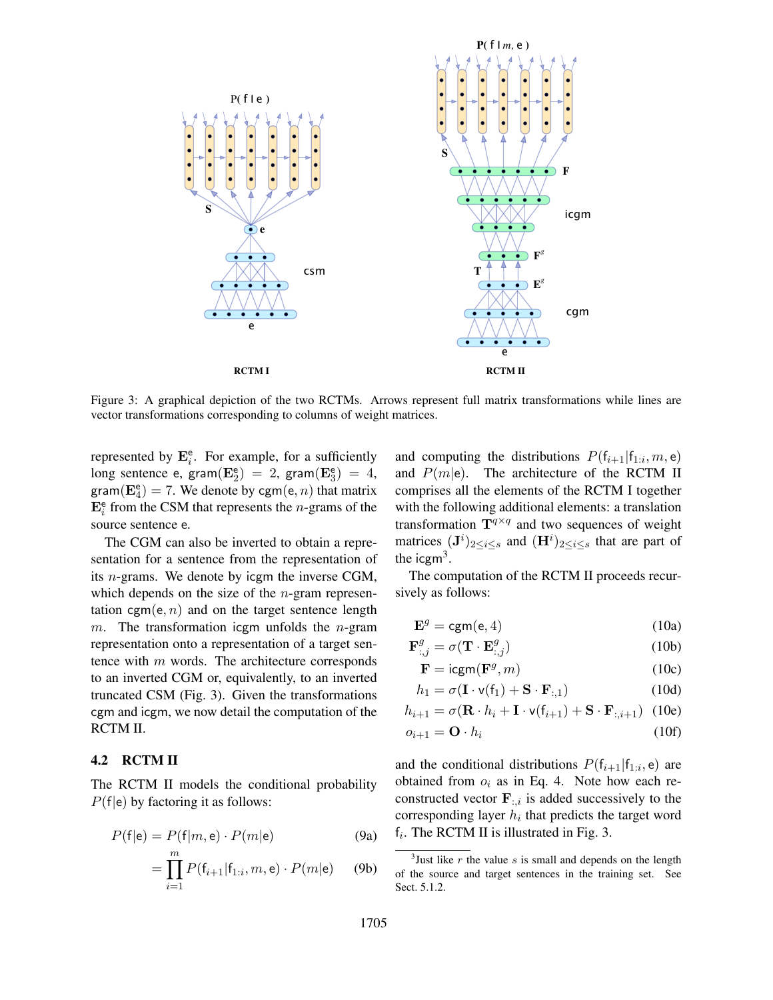

Figure 3: A graphical depiction of the two RCTMs. Arrows represent full matrix transformations while lines are vector transformations corresponding to columns of weight matrices.

represented by  $\mathbf{E}_i^e$ . For example, for a sufficiently long sentence e, gram $(\mathbf{E}_2^e) = 2$ , gram $(\mathbf{E}_3^e) = 4$ , gram $(\mathbf{E}_4^e) = 7$ . We denote by cgm $(e, n)$  that matrix  $\mathbf{E}_i^e$  from the CSM that represents the *n*-grams of the source sentence e.

The CGM can also be inverted to obtain a representation for a sentence from the representation of its n-grams. We denote by icgm the inverse CGM, which depends on the size of the  $n$ -gram representation cgm(e, n) and on the target sentence length m. The transformation icgm unfolds the *n*-gram representation onto a representation of a target sentence with m words. The architecture corresponds to an inverted CGM or, equivalently, to an inverted truncated CSM (Fig. 3). Given the transformations cgm and icgm, we now detail the computation of the RCTM II.

#### 4.2 RCTM II

The RCTM II models the conditional probability  $P(f|e)$  by factoring it as follows:

$$
P(\mathsf{f}|\mathsf{e}) = P(\mathsf{f}|m, \mathsf{e}) \cdot P(m|\mathsf{e}) \tag{9a}
$$

$$
= \prod_{i=1}^{m} P(f_{i+1}|f_{1:i}, m, e) \cdot P(m|e) \qquad (9b)
$$

and computing the distributions  $P(f_{i+1} | f_{1:i}, m, e)$ and  $P(m|\mathbf{e})$ . The architecture of the RCTM II comprises all the elements of the RCTM I together with the following additional elements: a translation transformation  $T^{q \times q}$  and two sequences of weight matrices  $({\bf J}^{i})_{2\leq i\leq s}$  and  $({\bf H}^{i})_{2\leq i\leq s}$  that are part of the icgm<sup>3</sup>.

The computation of the RCTM II proceeds recursively as follows:

$$
\mathbf{E}^g = \text{cgm}(\mathbf{e}, 4) \tag{10a}
$$

$$
\mathbf{F}_{:,j}^{g} = \sigma(\mathbf{T} \cdot \mathbf{E}_{:,j}^{g})
$$
 (10b)

$$
\mathbf{F} = \text{icgm}(\mathbf{F}^g, m) \tag{10c}
$$

$$
h_1 = \sigma(\mathbf{I} \cdot \mathsf{v}(\mathsf{f}_1) + \mathbf{S} \cdot \mathbf{F}_{:,1}) \tag{10d}
$$

$$
h_{i+1} = \sigma(\mathbf{R} \cdot h_i + \mathbf{I} \cdot \mathbf{v}(\mathbf{f}_{i+1}) + \mathbf{S} \cdot \mathbf{F}_{:,i+1}) \tag{10e}
$$

$$
o_{i+1} = \mathbf{O} \cdot h_i \tag{10f}
$$

and the conditional distributions  $P(f_{i+1} | f_{1:i}, e)$  are obtained from  $o_i$  as in Eq. 4. Note how each reconstructed vector  $\mathbf{F}_{:,i}$  is added successively to the corresponding layer  $h_i$  that predicts the target word  $f_i$ . The RCTM II is illustrated in Fig. 3.

<sup>&</sup>lt;sup>3</sup> Just like  $r$  the value  $s$  is small and depends on the length of the source and target sentences in the training set. See Sect. 5.1.2.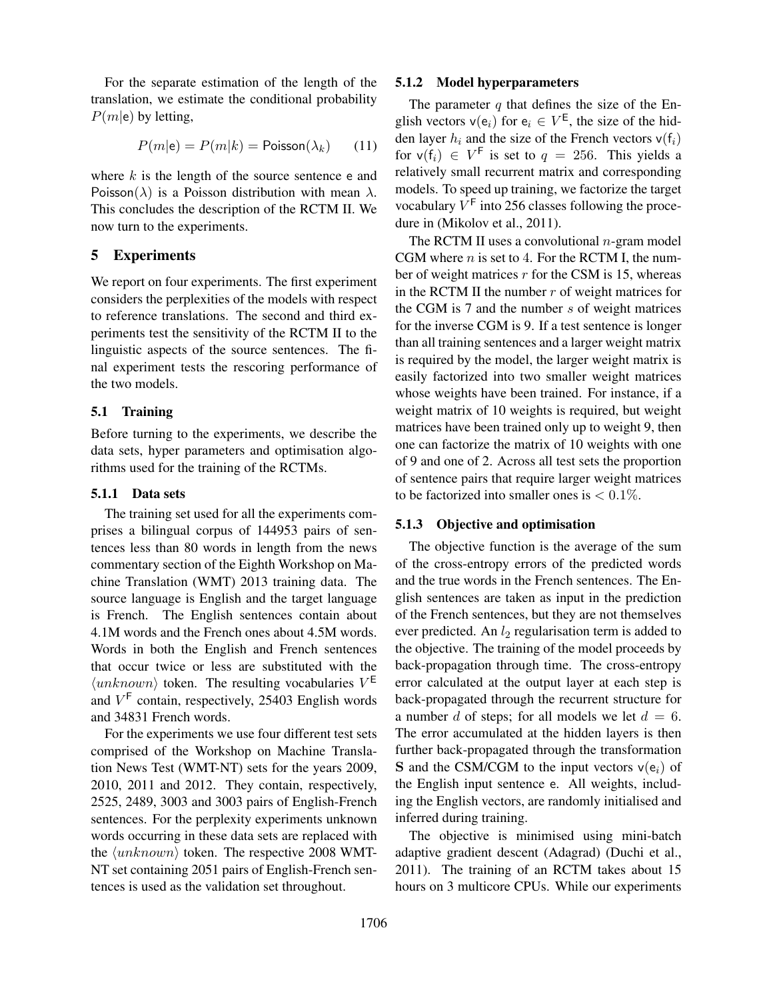For the separate estimation of the length of the translation, we estimate the conditional probability  $P(m|e)$  by letting,

$$
P(m|\mathbf{e}) = P(m|k) = \text{Poisson}(\lambda_k) \tag{11}
$$

where  $k$  is the length of the source sentence e and Poisson( $\lambda$ ) is a Poisson distribution with mean  $\lambda$ . This concludes the description of the RCTM II. We now turn to the experiments.

### 5 Experiments

We report on four experiments. The first experiment considers the perplexities of the models with respect to reference translations. The second and third experiments test the sensitivity of the RCTM II to the linguistic aspects of the source sentences. The final experiment tests the rescoring performance of the two models.

#### 5.1 Training

Before turning to the experiments, we describe the data sets, hyper parameters and optimisation algorithms used for the training of the RCTMs.

## 5.1.1 Data sets

The training set used for all the experiments comprises a bilingual corpus of 144953 pairs of sentences less than 80 words in length from the news commentary section of the Eighth Workshop on Machine Translation (WMT) 2013 training data. The source language is English and the target language is French. The English sentences contain about 4.1M words and the French ones about 4.5M words. Words in both the English and French sentences that occur twice or less are substituted with the  $\langle unknown \rangle$  token. The resulting vocabularies  $V^{\text{E}}$ and  $V<sup>F</sup>$  contain, respectively, 25403 English words and 34831 French words.

For the experiments we use four different test sets comprised of the Workshop on Machine Translation News Test (WMT-NT) sets for the years 2009, 2010, 2011 and 2012. They contain, respectively, 2525, 2489, 3003 and 3003 pairs of English-French sentences. For the perplexity experiments unknown words occurring in these data sets are replaced with the  $\langle unknown \rangle$  token. The respective 2008 WMT-NT set containing 2051 pairs of English-French sentences is used as the validation set throughout.

#### 5.1.2 Model hyperparameters

The parameter  $q$  that defines the size of the English vectors  $v(e_i)$  for  $e_i \in V^E$ , the size of the hidden layer  $h_i$  and the size of the French vectors  $v(f_i)$ for  $v(f_i) \in V^F$  is set to  $q = 256$ . This yields a relatively small recurrent matrix and corresponding models. To speed up training, we factorize the target vocabulary  $V^{\text{F}}$  into 256 classes following the procedure in (Mikolov et al., 2011).

The RCTM II uses a convolutional  $n$ -gram model CGM where  $n$  is set to 4. For the RCTM I, the number of weight matrices  $r$  for the CSM is 15, whereas in the RCTM II the number  $r$  of weight matrices for the CGM is  $7$  and the number  $s$  of weight matrices for the inverse CGM is 9. If a test sentence is longer than all training sentences and a larger weight matrix is required by the model, the larger weight matrix is easily factorized into two smaller weight matrices whose weights have been trained. For instance, if a weight matrix of 10 weights is required, but weight matrices have been trained only up to weight 9, then one can factorize the matrix of 10 weights with one of 9 and one of 2. Across all test sets the proportion of sentence pairs that require larger weight matrices to be factorized into smaller ones is  $< 0.1\%$ .

#### 5.1.3 Objective and optimisation

The objective function is the average of the sum of the cross-entropy errors of the predicted words and the true words in the French sentences. The English sentences are taken as input in the prediction of the French sentences, but they are not themselves ever predicted. An  $l_2$  regularisation term is added to the objective. The training of the model proceeds by back-propagation through time. The cross-entropy error calculated at the output layer at each step is back-propagated through the recurrent structure for a number d of steps; for all models we let  $d = 6$ . The error accumulated at the hidden layers is then further back-propagated through the transformation **S** and the CSM/CGM to the input vectors  $v(e_i)$  of the English input sentence e. All weights, including the English vectors, are randomly initialised and inferred during training.

The objective is minimised using mini-batch adaptive gradient descent (Adagrad) (Duchi et al., 2011). The training of an RCTM takes about 15 hours on 3 multicore CPUs. While our experiments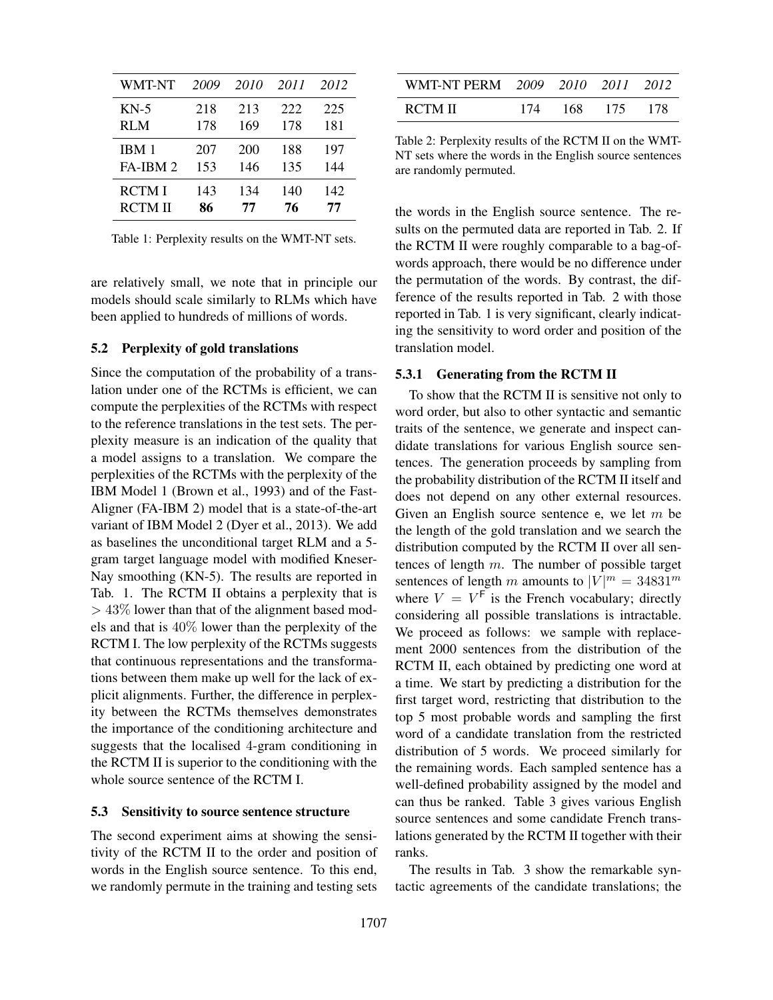| WMT-NT        | 2009 | 2010 | 2011 | 2012 |
|---------------|------|------|------|------|
| $KN-5$        | 218  | 213  | 222  | 225  |
| <b>RLM</b>    | 178  | 169  | 178  | 181  |
| IBM 1         | 207  | 200  | 188  | 197  |
| FA-IBM 2      | 153  | 146  | 135  | 144  |
| <b>RCTMI</b>  | 143  | 134  | 140  | 142  |
| <b>RCTMII</b> | 86   | 77   | 76   | 77   |

Table 1: Perplexity results on the WMT-NT sets.

are relatively small, we note that in principle our models should scale similarly to RLMs which have been applied to hundreds of millions of words.

#### 5.2 Perplexity of gold translations

Since the computation of the probability of a translation under one of the RCTMs is efficient, we can compute the perplexities of the RCTMs with respect to the reference translations in the test sets. The perplexity measure is an indication of the quality that a model assigns to a translation. We compare the perplexities of the RCTMs with the perplexity of the IBM Model 1 (Brown et al., 1993) and of the Fast-Aligner (FA-IBM 2) model that is a state-of-the-art variant of IBM Model 2 (Dyer et al., 2013). We add as baselines the unconditional target RLM and a 5 gram target language model with modified Kneser-Nay smoothing (KN-5). The results are reported in Tab. 1. The RCTM II obtains a perplexity that is  $> 43\%$  lower than that of the alignment based models and that is 40% lower than the perplexity of the RCTM I. The low perplexity of the RCTMs suggests that continuous representations and the transformations between them make up well for the lack of explicit alignments. Further, the difference in perplexity between the RCTMs themselves demonstrates the importance of the conditioning architecture and suggests that the localised 4-gram conditioning in the RCTM II is superior to the conditioning with the whole source sentence of the RCTM I.

#### 5.3 Sensitivity to source sentence structure

The second experiment aims at showing the sensitivity of the RCTM II to the order and position of words in the English source sentence. To this end, we randomly permute in the training and testing sets

| WMT-NT PERM 2009 2010 2011 2012 |                 |  |
|---------------------------------|-----------------|--|
| RCTM II                         | 174 168 175 178 |  |

Table 2: Perplexity results of the RCTM II on the WMT-NT sets where the words in the English source sentences are randomly permuted.

the words in the English source sentence. The results on the permuted data are reported in Tab. 2. If the RCTM II were roughly comparable to a bag-ofwords approach, there would be no difference under the permutation of the words. By contrast, the difference of the results reported in Tab. 2 with those reported in Tab. 1 is very significant, clearly indicating the sensitivity to word order and position of the translation model.

### 5.3.1 Generating from the RCTM II

To show that the RCTM II is sensitive not only to word order, but also to other syntactic and semantic traits of the sentence, we generate and inspect candidate translations for various English source sentences. The generation proceeds by sampling from the probability distribution of the RCTM II itself and does not depend on any other external resources. Given an English source sentence e, we let  $m$  be the length of the gold translation and we search the distribution computed by the RCTM II over all sentences of length  $m$ . The number of possible target sentences of length m amounts to  $|V|^m = 34831^m$ where  $V = V^F$  is the French vocabulary; directly considering all possible translations is intractable. We proceed as follows: we sample with replacement 2000 sentences from the distribution of the RCTM II, each obtained by predicting one word at a time. We start by predicting a distribution for the first target word, restricting that distribution to the top 5 most probable words and sampling the first word of a candidate translation from the restricted distribution of 5 words. We proceed similarly for the remaining words. Each sampled sentence has a well-defined probability assigned by the model and can thus be ranked. Table 3 gives various English source sentences and some candidate French translations generated by the RCTM II together with their ranks.

The results in Tab. 3 show the remarkable syntactic agreements of the candidate translations; the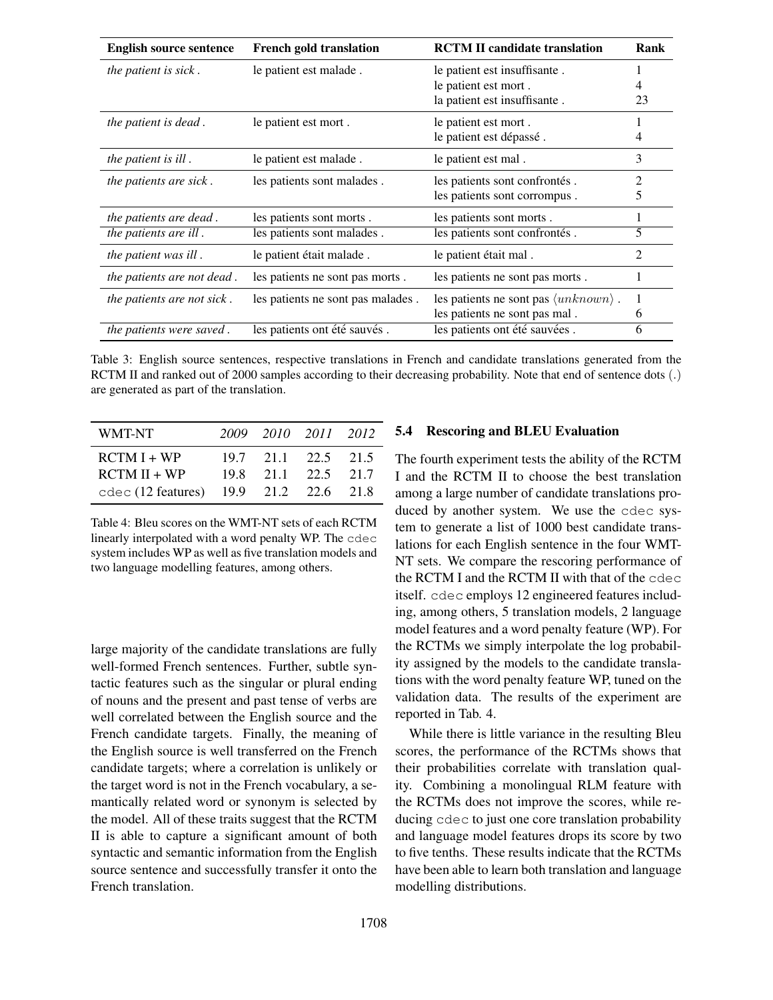| <b>English source sentence</b> | <b>French gold translation</b>    | <b>RCTM II candidate translation</b>                                                  | Rank   |
|--------------------------------|-----------------------------------|---------------------------------------------------------------------------------------|--------|
| <i>the patient is sick.</i>    | le patient est malade.            | le patient est insuffisante.<br>le patient est mort.<br>la patient est insuffisante.  | 23     |
| the patient is dead.           | le patient est mort.              | le patient est mort.<br>le patient est dépassé.                                       | 4      |
| the patient is ill.            | le patient est malade.            | le patient est mal.                                                                   | 3      |
| the patients are sick.         | les patients sont malades.        | les patients sont confrontés.<br>les patients sont corrompus.                         | 2<br>5 |
| the patients are dead.         | les patients sont morts.          | les patients sont morts.                                                              | 1      |
| the patients are ill.          | les patients sont malades.        | les patients sont confrontés.                                                         | 5      |
| the patient was ill.           | le patient était malade.          | le patient était mal.                                                                 | 2      |
| the patients are not dead.     | les patients ne sont pas morts.   | les patients ne sont pas morts.                                                       |        |
| the patients are not sick.     | les patients ne sont pas malades. | les patients ne sont pas $\langle unknown \rangle$ .<br>les patients ne sont pas mal. | 1<br>6 |
| the patients were saved.       | les patients ont été sauvés.      | les patients ont été sauvées.                                                         | 6      |

Table 3: English source sentences, respective translations in French and candidate translations generated from the RCTM II and ranked out of 2000 samples according to their decreasing probability. Note that end of sentence dots (.) are generated as part of the translation.

| WMT-NT                                             | 2009 2010 2011 2012 |  |
|----------------------------------------------------|---------------------|--|
| $RCTM I + WP$                                      | 19.7 21.1 22.5 21.5 |  |
| $RCTM II + WP$                                     | 19.8 21.1 22.5 21.7 |  |
| cdec $(12 \text{ features})$ 19.9 $21.2$ 22.6 21.8 |                     |  |

Table 4: Bleu scores on the WMT-NT sets of each RCTM linearly interpolated with a word penalty WP. The cdec system includes WP as well as five translation models and two language modelling features, among others.

large majority of the candidate translations are fully well-formed French sentences. Further, subtle syntactic features such as the singular or plural ending of nouns and the present and past tense of verbs are well correlated between the English source and the French candidate targets. Finally, the meaning of the English source is well transferred on the French candidate targets; where a correlation is unlikely or the target word is not in the French vocabulary, a semantically related word or synonym is selected by the model. All of these traits suggest that the RCTM II is able to capture a significant amount of both syntactic and semantic information from the English source sentence and successfully transfer it onto the French translation.

#### 5.4 Rescoring and BLEU Evaluation

The fourth experiment tests the ability of the RCTM I and the RCTM II to choose the best translation among a large number of candidate translations produced by another system. We use the cdec system to generate a list of 1000 best candidate translations for each English sentence in the four WMT-NT sets. We compare the rescoring performance of the RCTM I and the RCTM II with that of the cdec itself. cdec employs 12 engineered features including, among others, 5 translation models, 2 language model features and a word penalty feature (WP). For the RCTMs we simply interpolate the log probability assigned by the models to the candidate translations with the word penalty feature WP, tuned on the validation data. The results of the experiment are reported in Tab. 4.

While there is little variance in the resulting Bleu scores, the performance of the RCTMs shows that their probabilities correlate with translation quality. Combining a monolingual RLM feature with the RCTMs does not improve the scores, while reducing cdec to just one core translation probability and language model features drops its score by two to five tenths. These results indicate that the RCTMs have been able to learn both translation and language modelling distributions.